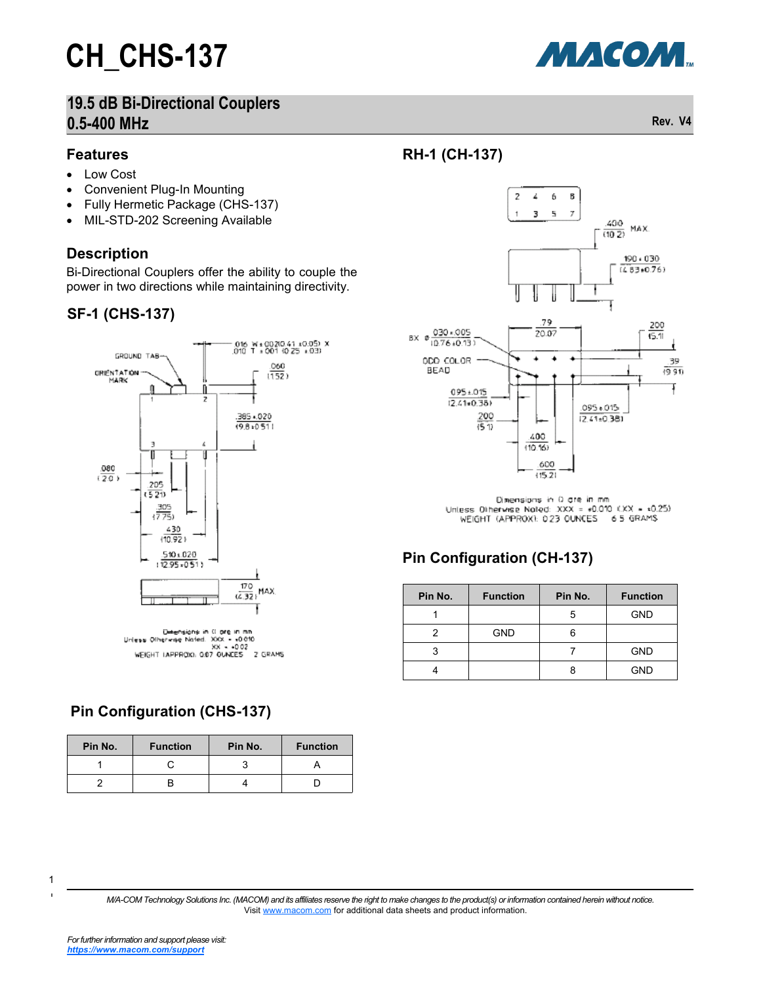### **19.5 dB Bi-Directional Couplers 0.5-400 MHz Rev. V4**

#### **Features**

- Low Cost
- Convenient Plug-In Mounting
- Fully Hermetic Package (CHS-137)
- MIL-STD-202 Screening Available

#### **Description**

Bi-Directional Couplers offer the ability to couple the power in two directions while maintaining directivity.

#### **SF-1 (CHS-137)**



Diversions in 0 ore in mn<br>Unless Otherwae Noted, JOOK - 10010<br>WEIGHT (APPROIG, 0.07 OUNDES - 2 GRAMS

#### **Pin Configuration (CHS-137)**

| Pin No. | <b>Function</b> | Pin No. | <b>Function</b> |  |  |
|---------|-----------------|---------|-----------------|--|--|
|         |                 |         |                 |  |  |
|         |                 |         |                 |  |  |





Dimensions in 0 are in mm Unless Otherwise Noted:  $XXX = *0.010$   $(XX - *0.25)$ WEIGHT (APPROX): 023 OUNCES 65 GRAMS

#### **Pin Configuration (CH-137)**

| Pin No. | <b>Function</b> | Pin No. | <b>Function</b> |  |
|---------|-----------------|---------|-----------------|--|
|         |                 | 5       | <b>GND</b>      |  |
|         | <b>GND</b>      | 6       |                 |  |
|         |                 |         | <b>GND</b>      |  |
|         |                 |         | <b>GND</b>      |  |

1 1

*M/A-COM Technology Solutions Inc. (MACOM) and its affiliates reserve the right to make changes to the product(s) or information contained herein without notice.*  Visit [www.macom.com](http://www.macom.com/) for additional data sheets and product information.

МАСОМ.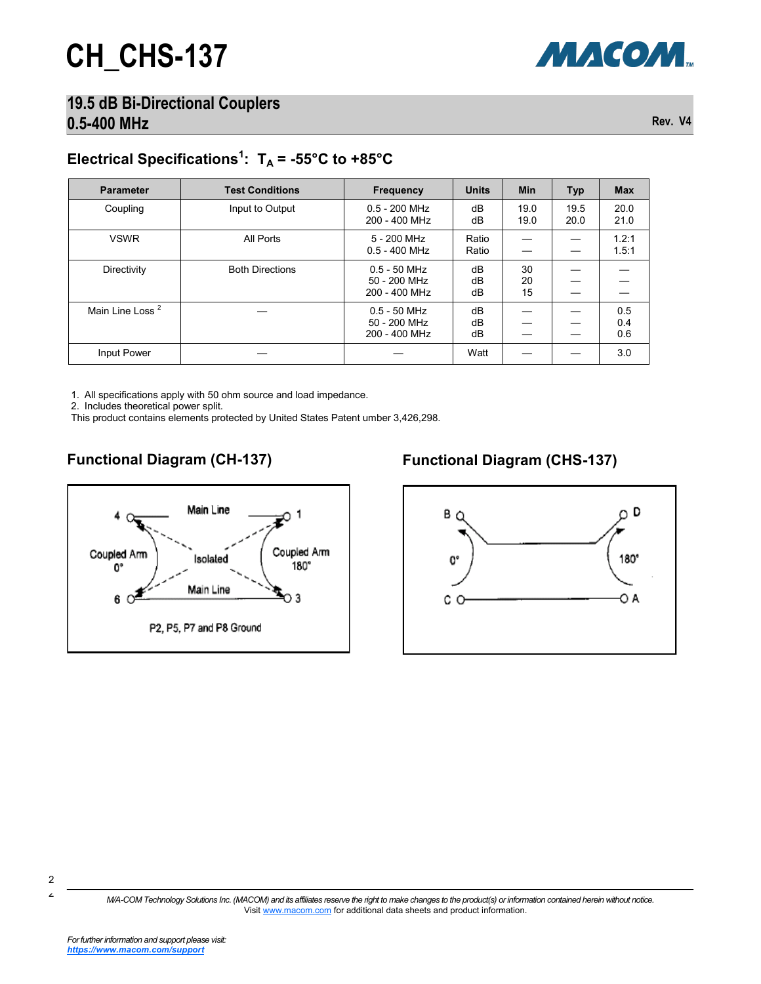#### **19.5 dB Bi-Directional Couplers 0.5-400 MHz Rev. V4**

### Electrical Specifications<sup>1</sup>:  $T_A = -55^{\circ}C$  to  $+85^{\circ}C$

| <b>Parameter</b>            | <b>Test Conditions</b> | <b>Frequency</b>                                | <b>Units</b>   | <b>Min</b>     | <b>Typ</b>   | <b>Max</b>        |
|-----------------------------|------------------------|-------------------------------------------------|----------------|----------------|--------------|-------------------|
| Coupling                    | Input to Output        | $0.5 - 200$ MHz<br>200 - 400 MHz                | dB<br>dB       | 19.0<br>19.0   | 19.5<br>20.0 | 20.0<br>21.0      |
| <b>VSWR</b>                 | All Ports              | 5 - 200 MHz<br>$0.5 - 400$ MHz                  | Ratio<br>Ratio |                |              | 1.2:1<br>1.5:1    |
| Directivity                 | <b>Both Directions</b> | $0.5 - 50$ MHz<br>50 - 200 MHz<br>200 - 400 MHz | dB<br>dB<br>dB | 30<br>20<br>15 |              |                   |
| Main Line Loss <sup>2</sup> |                        | $0.5 - 50$ MHz<br>50 - 200 MHz<br>200 - 400 MHz | dB<br>dB<br>dB |                |              | 0.5<br>0.4<br>0.6 |
| Input Power                 |                        |                                                 | Watt           |                |              | 3.0               |

1. All specifications apply with 50 ohm source and load impedance.

2. Includes theoretical power split.

This product contains elements protected by United States Patent umber 3,426,298.



#### **Functional Diagram (CH-137) Functional Diagram (CHS-137)**



*M/A-COM Technology Solutions Inc. (MACOM) and its affiliates reserve the right to make changes to the product(s) or information contained herein without notice.*  Visit [www.macom.com](http://www.macom.com/) for additional data sheets and product information.

МАСОМ.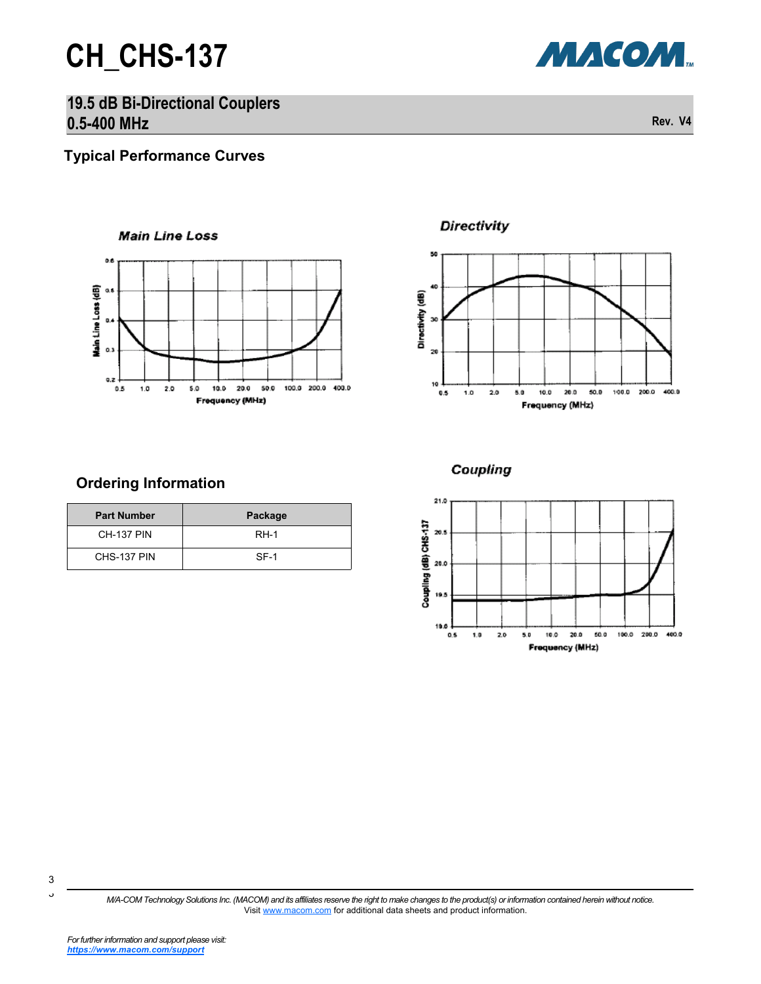

**19.5 dB Bi-Directional Couplers 0.5-400 MHz Rev. V4**

**Typical Performance Curves**

**Ordering Information**

**Part Number Package** CH-137 PIN RH-1 CHS-137 PIN SF-1



**Directivity** 



#### Coupling



*M/A-COM Technology Solutions Inc. (MACOM) and its affiliates reserve the right to make changes to the product(s) or information contained herein without notice.*  Visit [www.macom.com](http://www.macom.com/) for additional data sheets and product information.